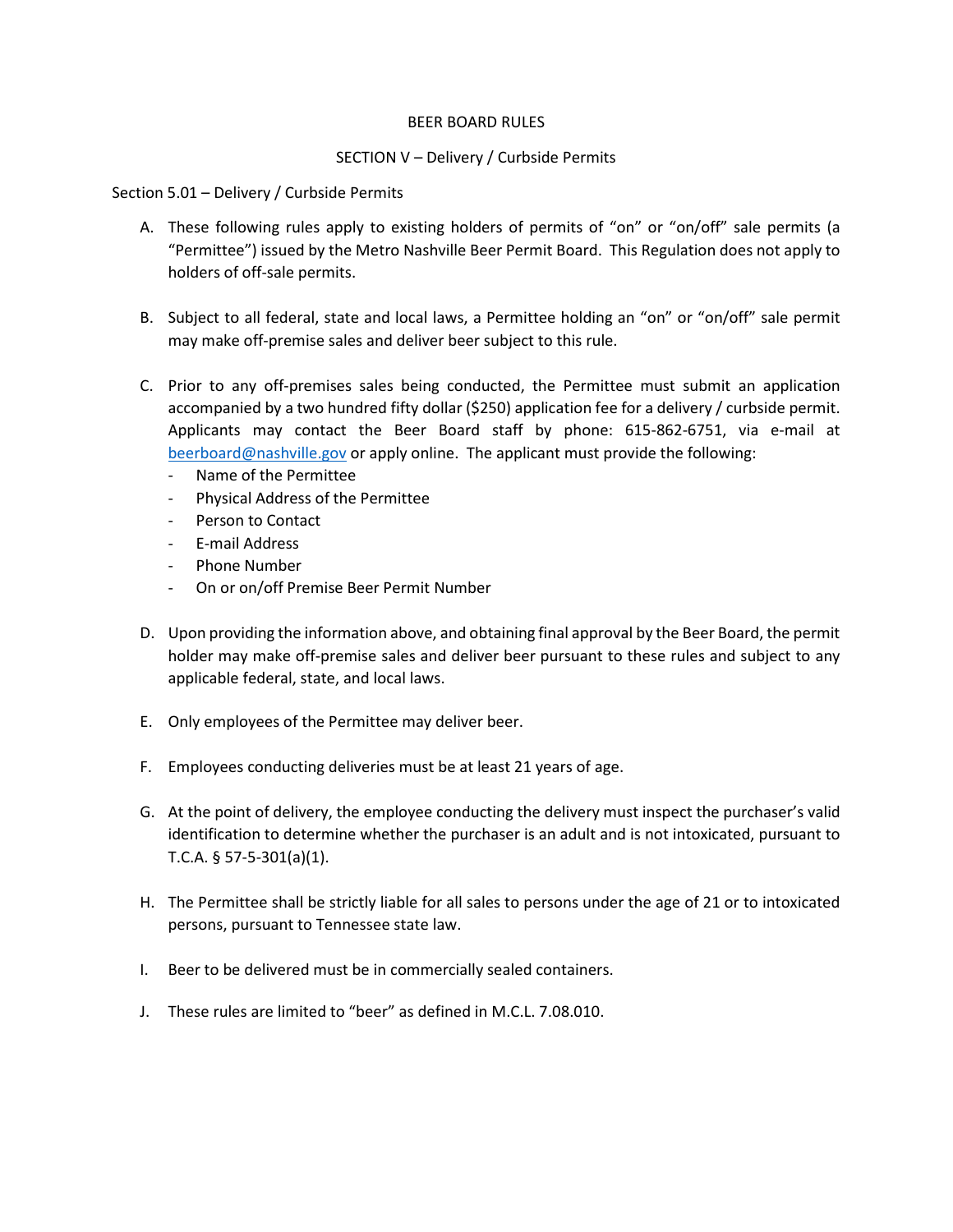## BEER BOARD RULES

# SECTION V – Delivery / Curbside Permits

## Section 5.01 – Delivery / Curbside Permits

- A. These following rules apply to existing holders of permits of "on" or "on/off" sale permits (a "Permittee") issued by the Metro Nashville Beer Permit Board. This Regulation does not apply to holders of off-sale permits.
- B. Subject to all federal, state and local laws, a Permittee holding an "on" or "on/off" sale permit may make off-premise sales and deliver beer subject to this rule.
- C. Prior to any off-premises sales being conducted, the Permittee must submit an application accompanied by a two hundred fifty dollar (\$250) application fee for a delivery / curbside permit. Applicants may contact the Beer Board staff by phone: 615-862-6751, via e-mail at [beerboard@nashville.gov](mailto:beerboard@nashville.gov) or apply online. The applicant must provide the following:
	- Name of the Permittee
	- Physical Address of the Permittee
	- Person to Contact
	- E-mail Address
	- Phone Number
	- On or on/off Premise Beer Permit Number
- D. Upon providing the information above, and obtaining final approval by the Beer Board, the permit holder may make off-premise sales and deliver beer pursuant to these rules and subject to any applicable federal, state, and local laws.
- E. Only employees of the Permittee may deliver beer.
- F. Employees conducting deliveries must be at least 21 years of age.
- G. At the point of delivery, the employee conducting the delivery must inspect the purchaser's valid identification to determine whether the purchaser is an adult and is not intoxicated, pursuant to T.C.A. § 57-5-301(a)(1).
- H. The Permittee shall be strictly liable for all sales to persons under the age of 21 or to intoxicated persons, pursuant to Tennessee state law.
- I. Beer to be delivered must be in commercially sealed containers.
- J. These rules are limited to "beer" as defined in M.C.L. 7.08.010.